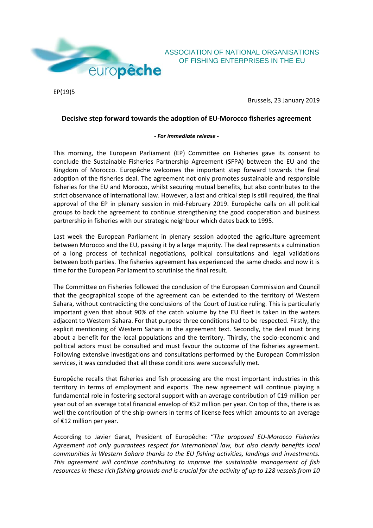

EP(19)5

Brussels, 23 January 2019

OF FISHING ENTERPRISES IN THE EU

## **Decisive step forward towards the adoption of EU-Morocco fisheries agreement**

## *- For immediate release -*

This morning, the European Parliament (EP) Committee on Fisheries gave its consent to conclude the Sustainable Fisheries Partnership Agreement (SFPA) between the EU and the Kingdom of Morocco. Europêche welcomes the important step forward towards the final adoption of the fisheries deal. The agreement not only promotes sustainable and responsible fisheries for the EU and Morocco, whilst securing mutual benefits, but also contributes to the strict observance of international law. However, a last and critical step is still required, the final approval of the EP in plenary session in mid-February 2019. Europêche calls on all political groups to back the agreement to continue strengthening the good cooperation and business partnership in fisheries with our strategic neighbour which dates back to 1995.

Last week the European Parliament in plenary session adopted the agriculture agreement between Morocco and the EU, passing it by a large majority. The deal represents a culmination of a long process of technical negotiations, political consultations and legal validations between both parties. The fisheries agreement has experienced the same checks and now it is time for the European Parliament to scrutinise the final result.

The Committee on Fisheries followed the conclusion of the European Commission and Council that the geographical scope of the agreement can be extended to the territory of Western Sahara, without contradicting the conclusions of the Court of Justice ruling. This is particularly important given that about 90% of the catch volume by the EU fleet is taken in the waters adjacent to Western Sahara. For that purpose three conditions had to be respected. Firstly, the explicit mentioning of Western Sahara in the agreement text. Secondly, the deal must bring about a benefit for the local populations and the territory. Thirdly, the socio-economic and political actors must be consulted and must favour the outcome of the fisheries agreement. Following extensive investigations and consultations performed by the European Commission services, it was concluded that all these conditions were successfully met.

Europêche recalls that fisheries and fish processing are the most important industries in this territory in terms of employment and exports. The new agreement will continue playing a fundamental role in fostering sectoral support with an average contribution of €19 million per year out of an average total financial envelop of €52 million per year. On top of this, there is as well the contribution of the ship-owners in terms of license fees which amounts to an average of €12 million per year.

According to Javier Garat, President of Europêche: "*The proposed EU-Morocco Fisheries Agreement not only guarantees respect for international law, but also clearly benefits local communities in Western Sahara thanks to the EU fishing activities, landings and investments. This agreement will continue contributing to improve the sustainable management of fish resources in these rich fishing grounds and is crucial for the activity of up to 128 vessels from 10*